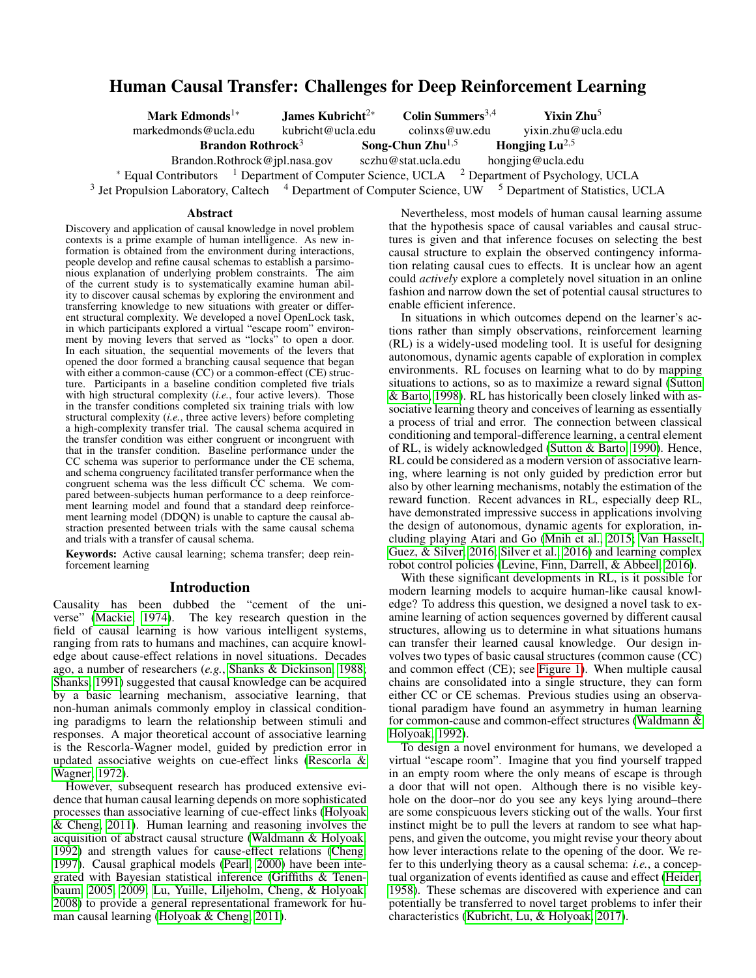# <span id="page-0-0"></span>Human Causal Transfer: Challenges for Deep Reinforcement Learning

| Mark Edmonds <sup>1*</sup>                                                                                                | James Kubricht <sup><math>2*</math></sup> | Colin Summers $3,4$ | <b>Yixin Zhu<sup>5</sup></b> |
|---------------------------------------------------------------------------------------------------------------------------|-------------------------------------------|---------------------|------------------------------|
| markedmonds@ucla.edu                                                                                                      | kubricht@ucla.edu                         | colinxs@uw.edu      | yixin.zhu@ucla.edu           |
| Hongjing $Lu^{2,5}$<br>Song-Chun $Zhu^{1,5}$<br><b>Brandon Rothrock</b> <sup>3</sup>                                      |                                           |                     |                              |
| sczhu@stat.ucla.edu<br>hongjing@ucla.edu<br>Brandon.Rothrock@jpl.nasa.gov                                                 |                                           |                     |                              |
| * Equal Contributors $\frac{1}{1}$ Department of Computer Science, UCLA $\frac{2}{1}$ Department of Psychology, UCLA      |                                           |                     |                              |
| <sup>3</sup> Jet Propulsion Laboratory, Caltech $4$ Department of Computer Science, UW $5$ Department of Statistics, UCLA |                                           |                     |                              |

#### Abstract

Discovery and application of causal knowledge in novel problem contexts is a prime example of human intelligence. As new information is obtained from the environment during interactions, people develop and refine causal schemas to establish a parsimonious explanation of underlying problem constraints. The aim of the current study is to systematically examine human ability to discover causal schemas by exploring the environment and transferring knowledge to new situations with greater or different structural complexity. We developed a novel OpenLock task, in which participants explored a virtual "escape room" environment by moving levers that served as "locks" to open a door. In each situation, the sequential movements of the levers that opened the door formed a branching causal sequence that began with either a common-cause (CC) or a common-effect (CE) structure. Participants in a baseline condition completed five trials with high structural complexity (*i.e.*, four active levers). Those in the transfer conditions completed six training trials with low structural complexity (*i.e.*, three active levers) before completing a high-complexity transfer trial. The causal schema acquired in the transfer condition was either congruent or incongruent with that in the transfer condition. Baseline performance under the CC schema was superior to performance under the CE schema, and schema congruency facilitated transfer performance when the congruent schema was the less difficult CC schema. We compared between-subjects human performance to a deep reinforcement learning model and found that a standard deep reinforcement learning model (DDQN) is unable to capture the causal abstraction presented between trials with the same causal schema and trials with a transfer of causal schema.

Keywords: Active causal learning; schema transfer; deep reinforcement learning

## Introduction

Causality has been dubbed the "cement of the universe" [\(Mackie, 1974\)](#page-5-0). The key research question in the field of causal learning is how various intelligent systems, ranging from rats to humans and machines, can acquire knowledge about cause-effect relations in novel situations. Decades ago, a number of researchers (*e.g.*, [Shanks & Dickinson, 1988;](#page-5-1) [Shanks, 1991\)](#page-5-2) suggested that causal knowledge can be acquired by a basic learning mechanism, associative learning, that non-human animals commonly employ in classical conditioning paradigms to learn the relationship between stimuli and responses. A major theoretical account of associative learning is the Rescorla-Wagner model, guided by prediction error in updated associative weights on cue-effect links [\(Rescorla &](#page-5-3) [Wagner, 1972\)](#page-5-3).

However, subsequent research has produced extensive evidence that human causal learning depends on more sophisticated processes than associative learning of cue-effect links [\(Holyoak](#page-5-4) [& Cheng, 2011\)](#page-5-4). Human learning and reasoning involves the acquisition of abstract causal structure [\(Waldmann & Holyoak,](#page-5-5) [1992\)](#page-5-5) and strength values for cause-effect relations [\(Cheng,](#page-5-6) [1997\)](#page-5-6). Causal graphical models [\(Pearl, 2000\)](#page-5-7) have been integrated with Bayesian statistical inference [\(Griffiths & Tenen](#page-5-8)[baum, 2005,](#page-5-8) [2009;](#page-5-9) [Lu, Yuille, Liljeholm, Cheng, & Holyoak,](#page-5-10) [2008\)](#page-5-10) to provide a general representational framework for human causal learning [\(Holyoak & Cheng, 2011\)](#page-5-4).

Nevertheless, most models of human causal learning assume that the hypothesis space of causal variables and causal structures is given and that inference focuses on selecting the best causal structure to explain the observed contingency information relating causal cues to effects. It is unclear how an agent could *actively* explore a completely novel situation in an online fashion and narrow down the set of potential causal structures to enable efficient inference.

In situations in which outcomes depend on the learner's actions rather than simply observations, reinforcement learning (RL) is a widely-used modeling tool. It is useful for designing autonomous, dynamic agents capable of exploration in complex environments. RL focuses on learning what to do by mapping situations to actions, so as to maximize a reward signal [\(Sutton](#page-5-11) [& Barto, 1998\)](#page-5-11). RL has historically been closely linked with associative learning theory and conceives of learning as essentially a process of trial and error. The connection between classical conditioning and temporal-difference learning, a central element of RL, is widely acknowledged [\(Sutton & Barto, 1990\)](#page-5-12). Hence, RL could be considered as a modern version of associative learning, where learning is not only guided by prediction error but also by other learning mechanisms, notably the estimation of the reward function. Recent advances in RL, especially deep RL, have demonstrated impressive success in applications involving the design of autonomous, dynamic agents for exploration, including playing Atari and Go [\(Mnih et al., 2015;](#page-5-13) [Van Hasselt,](#page-5-14) [Guez, & Silver, 2016;](#page-5-14) [Silver et al., 2016\)](#page-5-15) and learning complex robot control policies [\(Levine, Finn, Darrell, & Abbeel, 2016\)](#page-5-16).

With these significant developments in RL, is it possible for modern learning models to acquire human-like causal knowledge? To address this question, we designed a novel task to examine learning of action sequences governed by different causal structures, allowing us to determine in what situations humans can transfer their learned causal knowledge. Our design involves two types of basic causal structures (common cause (CC) and common effect (CE); see [Figure 1\)](#page-1-0). When multiple causal chains are consolidated into a single structure, they can form either CC or CE schemas. Previous studies using an observational paradigm have found an asymmetry in human learning for common-cause and common-effect structures [\(Waldmann &](#page-5-5) [Holyoak, 1992\)](#page-5-5).

To design a novel environment for humans, we developed a virtual "escape room". Imagine that you find yourself trapped in an empty room where the only means of escape is through a door that will not open. Although there is no visible keyhole on the door–nor do you see any keys lying around–there are some conspicuous levers sticking out of the walls. Your first instinct might be to pull the levers at random to see what happens, and given the outcome, you might revise your theory about how lever interactions relate to the opening of the door. We refer to this underlying theory as a causal schema: *i.e.*, a conceptual organization of events identified as cause and effect [\(Heider,](#page-5-17) [1958\)](#page-5-17). These schemas are discovered with experience and can potentially be transferred to novel target problems to infer their characteristics [\(Kubricht, Lu, & Holyoak, 2017\)](#page-5-18).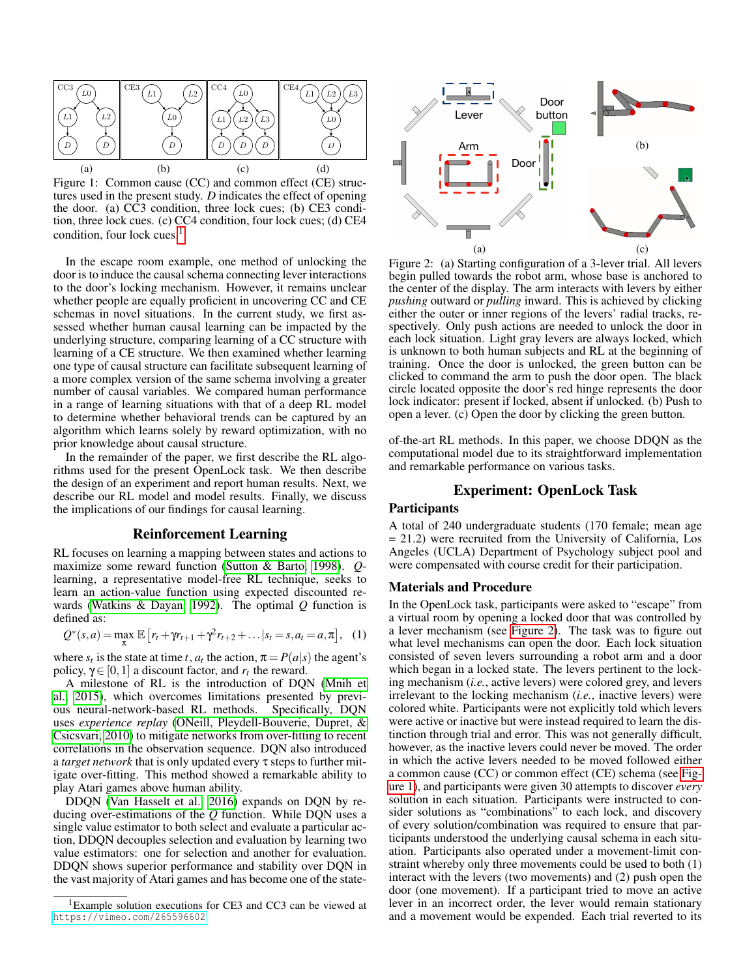<span id="page-1-2"></span><span id="page-1-0"></span>

<span id="page-1-4"></span><span id="page-1-3"></span>Figure 1: Common cause (CC) and common effect (CE) structures used in the present study. *D* indicates the effect of opening the door. (a) CC3 condition, three lock cues; (b) CE3 condition, three lock cues. (c) CC4 condition, four lock cues; (d) CE4 condition, four lock cues.<sup>[1](#page-0-0)</sup>

In the escape room example, one method of unlocking the door is to induce the causal schema connecting lever interactions to the door's locking mechanism. However, it remains unclear whether people are equally proficient in uncovering CC and CE schemas in novel situations. In the current study, we first assessed whether human causal learning can be impacted by the underlying structure, comparing learning of a CC structure with learning of a CE structure. We then examined whether learning one type of causal structure can facilitate subsequent learning of a more complex version of the same schema involving a greater number of causal variables. We compared human performance in a range of learning situations with that of a deep RL model to determine whether behavioral trends can be captured by an algorithm which learns solely by reward optimization, with no prior knowledge about causal structure.

In the remainder of the paper, we first describe the RL algorithms used for the present OpenLock task. We then describe the design of an experiment and report human results. Next, we describe our RL model and model results. Finally, we discuss the implications of our findings for causal learning.

## Reinforcement Learning

RL focuses on learning a mapping between states and actions to maximize some reward function [\(Sutton & Barto, 1998\)](#page-5-11). *Q*learning, a representative model-free RL technique, seeks to learn an action-value function using expected discounted rewards [\(Watkins & Dayan, 1992\)](#page-5-19). The optimal *Q* function is defined as:

$$
Q^*(s, a) = \max_{\pi} \mathbb{E}\left[r_t + \gamma r_{t+1} + \gamma^2 r_{t+2} + \dots | s_t = s, a_t = a, \pi\right], \quad (1)
$$

where  $s_t$  is the state at time *t*,  $a_t$  the action,  $\pi = P(a|s)$  the agent's policy,  $\gamma \in [0, 1]$  a discount factor, and  $r_t$  the reward.

A milestone of RL is the introduction of DQN [\(Mnih et](#page-5-13) [al., 2015\)](#page-5-13), which overcomes limitations presented by previous neural-network-based RL methods. Specifically, DQN uses *experience replay* [\(ONeill, Pleydell-Bouverie, Dupret, &](#page-5-20) [Csicsvari, 2010\)](#page-5-20) to mitigate networks from over-fitting to recent correlations in the observation sequence. DQN also introduced a *target network* that is only updated every τ steps to further mitigate over-fitting. This method showed a remarkable ability to play Atari games above human ability.

DDQN [\(Van Hasselt et al., 2016\)](#page-5-14) expands on DQN by reducing over-estimations of the *Q* function. While DQN uses a single value estimator to both select and evaluate a particular action, DDQN decouples selection and evaluation by learning two value estimators: one for selection and another for evaluation. DDQN shows superior performance and stability over DQN in the vast majority of Atari games and has become one of the state-

<span id="page-1-5"></span><span id="page-1-1"></span>

Figure 2: (a) Starting configuration of a 3-lever trial. All levers begin pulled towards the robot arm, whose base is anchored to the center of the display. The arm interacts with levers by either *pushing* outward or *pulling* inward. This is achieved by clicking either the outer or inner regions of the levers' radial tracks, respectively. Only push actions are needed to unlock the door in each lock situation. Light gray levers are always locked, which is unknown to both human subjects and RL at the beginning of training. Once the door is unlocked, the green button can be clicked to command the arm to push the door open. The black circle located opposite the door's red hinge represents the door lock indicator: present if locked, absent if unlocked. (b) Push to open a lever. (c) Open the door by clicking the green button.

of-the-art RL methods. In this paper, we choose DDQN as the computational model due to its straightforward implementation and remarkable performance on various tasks.

# Experiment: OpenLock Task

# Participants

A total of 240 undergraduate students (170 female; mean age = 21.2) were recruited from the University of California, Los Angeles (UCLA) Department of Psychology subject pool and were compensated with course credit for their participation.

#### Materials and Procedure

In the OpenLock task, participants were asked to "escape" from a virtual room by opening a locked door that was controlled by a lever mechanism (see [Figure 2\)](#page-1-1). The task was to figure out what level mechanisms can open the door. Each lock situation consisted of seven levers surrounding a robot arm and a door which began in a locked state. The levers pertinent to the locking mechanism (*i.e.*, active levers) were colored grey, and levers irrelevant to the locking mechanism (*i.e.*, inactive levers) were colored white. Participants were not explicitly told which levers were active or inactive but were instead required to learn the distinction through trial and error. This was not generally difficult, however, as the inactive levers could never be moved. The order in which the active levers needed to be moved followed either a common cause (CC) or common effect (CE) schema (see [Fig](#page-1-0)[ure 1\)](#page-1-0), and participants were given 30 attempts to discover *every* solution in each situation. Participants were instructed to consider solutions as "combinations" to each lock, and discovery of every solution/combination was required to ensure that participants understood the underlying causal schema in each situation. Participants also operated under a movement-limit constraint whereby only three movements could be used to both (1) interact with the levers (two movements) and (2) push open the door (one movement). If a participant tried to move an active lever in an incorrect order, the lever would remain stationary and a movement would be expended. Each trial reverted to its

<sup>&</sup>lt;sup>1</sup>Example solution executions for CE3 and CC3 can be viewed at <https://vimeo.com/265596602>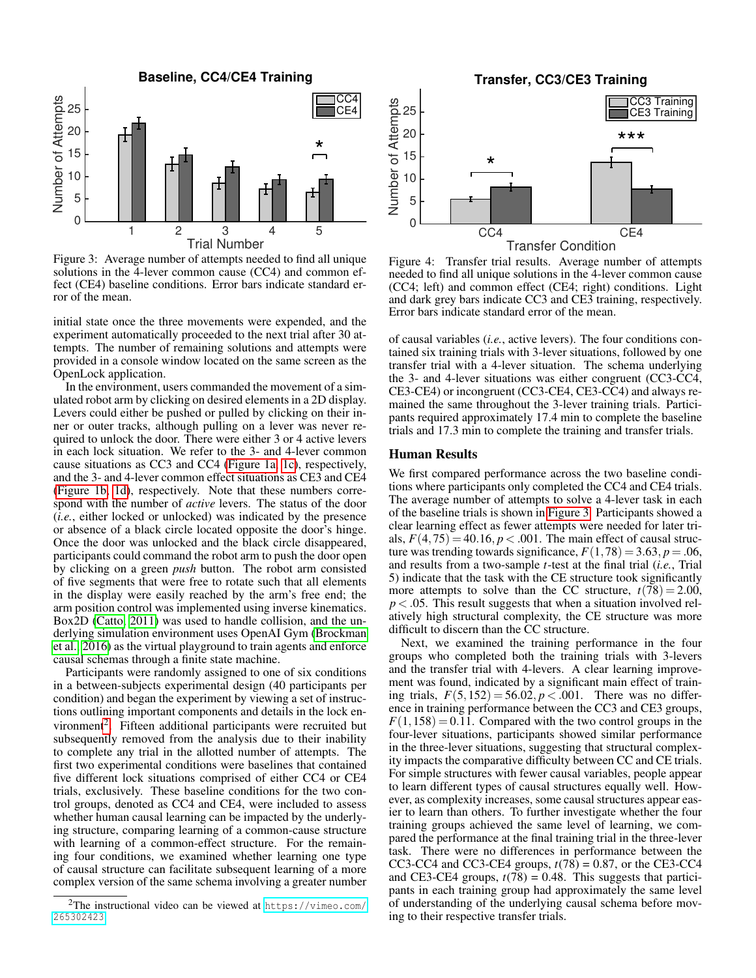<span id="page-2-0"></span>

Figure 3: Average number of attempts needed to find all unique solutions in the 4-lever common cause (CC4) and common effect (CE4) baseline conditions. Error bars indicate standard error of the mean.

initial state once the three movements were expended, and the experiment automatically proceeded to the next trial after 30 attempts. The number of remaining solutions and attempts were provided in a console window located on the same screen as the OpenLock application.

In the environment, users commanded the movement of a simulated robot arm by clicking on desired elements in a 2D display. Levers could either be pushed or pulled by clicking on their inner or outer tracks, although pulling on a lever was never required to unlock the door. There were either 3 or 4 active levers in each lock situation. We refer to the 3- and 4-lever common cause situations as CC3 and CC4 [\(Figure 1a,](#page-1-2) [1c\)](#page-1-3), respectively, and the 3- and 4-lever common effect situations as CE3 and CE4 [\(Figure 1b,](#page-1-4) [1d\)](#page-1-5), respectively. Note that these numbers correspond with the number of *active* levers. The status of the door (*i.e.*, either locked or unlocked) was indicated by the presence or absence of a black circle located opposite the door's hinge. Once the door was unlocked and the black circle disappeared, participants could command the robot arm to push the door open by clicking on a green *push* button. The robot arm consisted of five segments that were free to rotate such that all elements in the display were easily reached by the arm's free end; the arm position control was implemented using inverse kinematics. Box2D [\(Catto, 2011\)](#page-5-21) was used to handle collision, and the underlying simulation environment uses OpenAI Gym [\(Brockman](#page-5-22) [et al., 2016\)](#page-5-22) as the virtual playground to train agents and enforce causal schemas through a finite state machine.

Participants were randomly assigned to one of six conditions in a between-subjects experimental design (40 participants per condition) and began the experiment by viewing a set of instructions outlining important components and details in the lock en-vironment<sup>[2](#page-0-0)</sup>. Fifteen additional participants were recruited but subsequently removed from the analysis due to their inability to complete any trial in the allotted number of attempts. The first two experimental conditions were baselines that contained five different lock situations comprised of either CC4 or CE4 trials, exclusively. These baseline conditions for the two control groups, denoted as CC4 and CE4, were included to assess whether human causal learning can be impacted by the underlying structure, comparing learning of a common-cause structure with learning of a common-effect structure. For the remaining four conditions, we examined whether learning one type of causal structure can facilitate subsequent learning of a more complex version of the same schema involving a greater number

**Transfer, CC3/CE3 Training**

<span id="page-2-1"></span>

Figure 4: Transfer trial results. Average number of attempts needed to find all unique solutions in the 4-lever common cause (CC4; left) and common effect (CE4; right) conditions. Light and dark grey bars indicate CC3 and CE3 training, respectively. Error bars indicate standard error of the mean.

of causal variables (*i.e.*, active levers). The four conditions contained six training trials with 3-lever situations, followed by one transfer trial with a 4-lever situation. The schema underlying the 3- and 4-lever situations was either congruent (CC3-CC4, CE3-CE4) or incongruent (CC3-CE4, CE3-CC4) and always remained the same throughout the 3-lever training trials. Participants required approximately 17.4 min to complete the baseline trials and 17.3 min to complete the training and transfer trials.

## Human Results

We first compared performance across the two baseline conditions where participants only completed the CC4 and CE4 trials. The average number of attempts to solve a 4-lever task in each of the baseline trials is shown in [Figure 3.](#page-2-0) Participants showed a clear learning effect as fewer attempts were needed for later trials,  $F(4,75) = 40.16, p < .001$ . The main effect of causal structure was trending towards significance,  $F(1,78) = 3.63, p = .06$ , and results from a two-sample *t*-test at the final trial (*i.e.*, Trial 5) indicate that the task with the CE structure took significantly more attempts to solve than the CC structure,  $t(78) = 2.00$ ,  $p < .05$ . This result suggests that when a situation involved relatively high structural complexity, the CE structure was more difficult to discern than the CC structure.

Next, we examined the training performance in the four groups who completed both the training trials with 3-levers and the transfer trial with 4-levers. A clear learning improvement was found, indicated by a significant main effect of training trials,  $F(5,152) = 56.02, p < .001$ . There was no difference in training performance between the CC3 and CE3 groups,  $F(1,158) = 0.11$ . Compared with the two control groups in the four-lever situations, participants showed similar performance in the three-lever situations, suggesting that structural complexity impacts the comparative difficulty between CC and CE trials. For simple structures with fewer causal variables, people appear to learn different types of causal structures equally well. However, as complexity increases, some causal structures appear easier to learn than others. To further investigate whether the four training groups achieved the same level of learning, we compared the performance at the final training trial in the three-lever task. There were no differences in performance between the CC3-CC4 and CC3-CE4 groups,  $t(78) = 0.87$ , or the CE3-CC4 and CE3-CE4 groups,  $t(78) = 0.48$ . This suggests that participants in each training group had approximately the same level of understanding of the underlying causal schema before moving to their respective transfer trials.

<sup>2</sup>The instructional video can be viewed at [https://vimeo.com/](https://vimeo.com/265302423) [265302423](https://vimeo.com/265302423)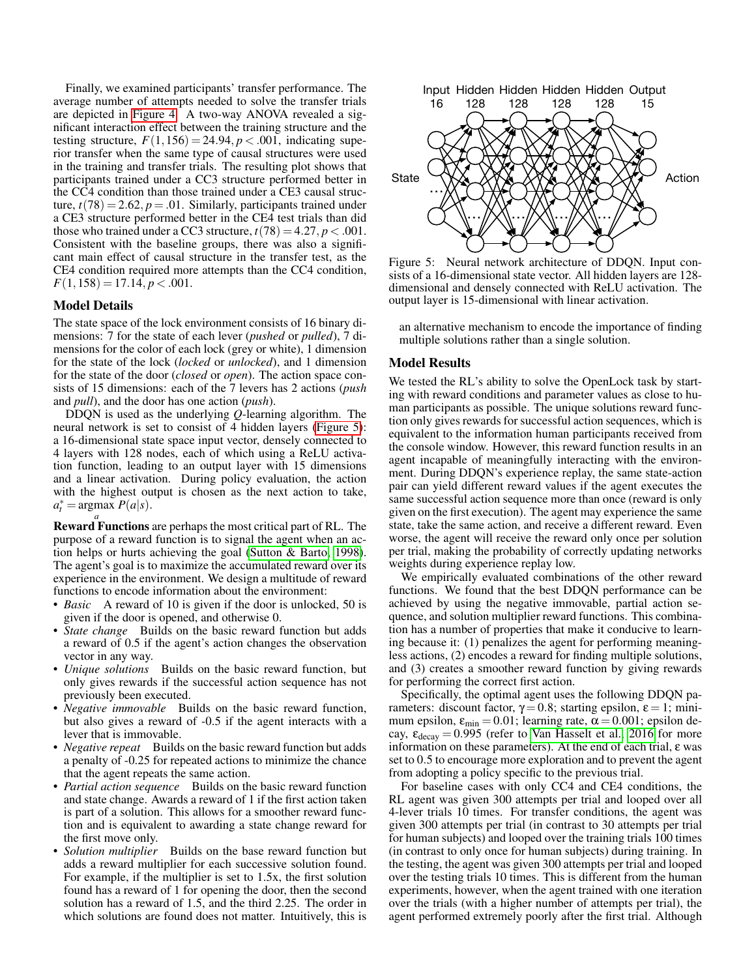Finally, we examined participants' transfer performance. The average number of attempts needed to solve the transfer trials are depicted in [Figure 4.](#page-2-1) A two-way ANOVA revealed a significant interaction effect between the training structure and the testing structure,  $F(1,156) = 24.94, p < .001$ , indicating superior transfer when the same type of causal structures were used in the training and transfer trials. The resulting plot shows that participants trained under a CC3 structure performed better in the CC4 condition than those trained under a CE3 causal structure,  $t(78) = 2.62$ ,  $p = .01$ . Similarly, participants trained under a CE3 structure performed better in the CE4 test trials than did those who trained under a CC3 structure,  $t(78) = 4.27$ ,  $p < .001$ . Consistent with the baseline groups, there was also a significant main effect of causal structure in the transfer test, as the CE4 condition required more attempts than the CC4 condition,  $F(1,158) = 17.14, p < .001.$ 

## Model Details

The state space of the lock environment consists of 16 binary dimensions: 7 for the state of each lever (*pushed* or *pulled*), 7 dimensions for the color of each lock (grey or white), 1 dimension for the state of the lock (*locked* or *unlocked*), and 1 dimension for the state of the door (*closed* or *open*). The action space consists of 15 dimensions: each of the 7 levers has 2 actions (*push* and *pull*), and the door has one action (*push*).

DDQN is used as the underlying *Q*-learning algorithm. The neural network is set to consist of 4 hidden layers [\(Figure 5\)](#page-3-0): a 16-dimensional state space input vector, densely connected to 4 layers with 128 nodes, each of which using a ReLU activation function, leading to an output layer with 15 dimensions and a linear activation. During policy evaluation, the action with the highest output is chosen as the next action to take,  $a_t^* = \text{argmax } P(a|s).$ 

*a* Reward Functions are perhaps the most critical part of RL. The purpose of a reward function is to signal the agent when an action helps or hurts achieving the goal [\(Sutton & Barto, 1998\)](#page-5-11). The agent's goal is to maximize the accumulated reward over its experience in the environment. We design a multitude of reward functions to encode information about the environment:

- *Basic* A reward of 10 is given if the door is unlocked, 50 is given if the door is opened, and otherwise 0.
- *State change* Builds on the basic reward function but adds a reward of 0.5 if the agent's action changes the observation vector in any way.
- *Unique solutions* Builds on the basic reward function, but only gives rewards if the successful action sequence has not previously been executed.
- *Negative immovable* Builds on the basic reward function, but also gives a reward of -0.5 if the agent interacts with a lever that is immovable.
- *Negative repeat* Builds on the basic reward function but adds a penalty of -0.25 for repeated actions to minimize the chance that the agent repeats the same action.
- *Partial action sequence* Builds on the basic reward function and state change. Awards a reward of 1 if the first action taken is part of a solution. This allows for a smoother reward function and is equivalent to awarding a state change reward for the first move only.
- *Solution multiplier* Builds on the base reward function but adds a reward multiplier for each successive solution found. For example, if the multiplier is set to 1.5x, the first solution found has a reward of 1 for opening the door, then the second solution has a reward of 1.5, and the third 2.25. The order in which solutions are found does not matter. Intuitively, this is

<span id="page-3-0"></span>

Figure 5: Neural network architecture of DDQN. Input consists of a 16-dimensional state vector. All hidden layers are 128 dimensional and densely connected with ReLU activation. The output layer is 15-dimensional with linear activation.

an alternative mechanism to encode the importance of finding multiple solutions rather than a single solution.

#### Model Results

We tested the RL's ability to solve the OpenLock task by starting with reward conditions and parameter values as close to human participants as possible. The unique solutions reward function only gives rewards for successful action sequences, which is equivalent to the information human participants received from the console window. However, this reward function results in an agent incapable of meaningfully interacting with the environment. During DDQN's experience replay, the same state-action pair can yield different reward values if the agent executes the same successful action sequence more than once (reward is only given on the first execution). The agent may experience the same state, take the same action, and receive a different reward. Even worse, the agent will receive the reward only once per solution per trial, making the probability of correctly updating networks weights during experience replay low.

We empirically evaluated combinations of the other reward functions. We found that the best DDQN performance can be achieved by using the negative immovable, partial action sequence, and solution multiplier reward functions. This combination has a number of properties that make it conducive to learning because it: (1) penalizes the agent for performing meaningless actions, (2) encodes a reward for finding multiple solutions, and (3) creates a smoother reward function by giving rewards for performing the correct first action.

Specifically, the optimal agent uses the following DDQN parameters: discount factor,  $γ = 0.8$ ; starting epsilon, ε = 1; minimum epsilon,  $\varepsilon_{\text{min}} = 0.01$ ; learning rate,  $\alpha = 0.001$ ; epsilon decay,  $\varepsilon_{\text{decay}} = 0.995$  (refer to [Van Hasselt et al., 2016](#page-5-14) for more information on these parameters). At the end of each trial, ε was set to 0.5 to encourage more exploration and to prevent the agent from adopting a policy specific to the previous trial.

For baseline cases with only CC4 and CE4 conditions, the RL agent was given 300 attempts per trial and looped over all 4-lever trials 10 times. For transfer conditions, the agent was given 300 attempts per trial (in contrast to 30 attempts per trial for human subjects) and looped over the training trials 100 times (in contrast to only once for human subjects) during training. In the testing, the agent was given 300 attempts per trial and looped over the testing trials 10 times. This is different from the human experiments, however, when the agent trained with one iteration over the trials (with a higher number of attempts per trial), the agent performed extremely poorly after the first trial. Although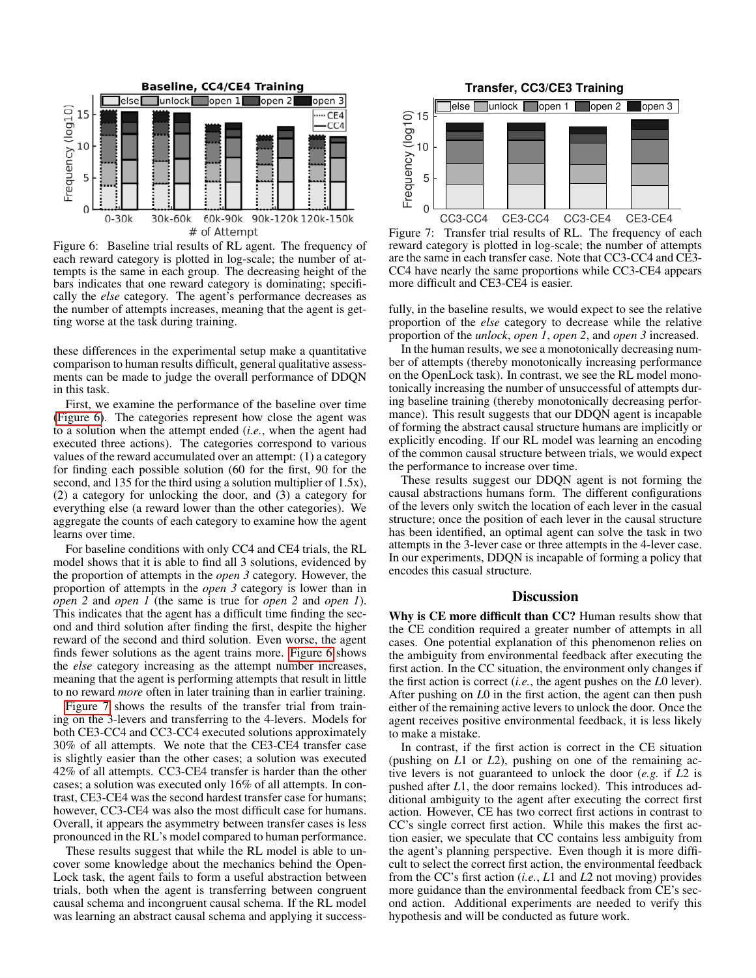<span id="page-4-0"></span>

Figure 6: Baseline trial results of RL agent. The frequency of each reward category is plotted in log-scale; the number of attempts is the same in each group. The decreasing height of the bars indicates that one reward category is dominating; specifically the *else* category. The agent's performance decreases as the number of attempts increases, meaning that the agent is getting worse at the task during training.

these differences in the experimental setup make a quantitative comparison to human results difficult, general qualitative assessments can be made to judge the overall performance of DDQN in this task.

First, we examine the performance of the baseline over time [\(Figure 6\)](#page-4-0). The categories represent how close the agent was to a solution when the attempt ended (*i.e.*, when the agent had executed three actions). The categories correspond to various values of the reward accumulated over an attempt: (1) a category for finding each possible solution (60 for the first, 90 for the second, and 135 for the third using a solution multiplier of 1.5x), (2) a category for unlocking the door, and (3) a category for everything else (a reward lower than the other categories). We aggregate the counts of each category to examine how the agent learns over time.

For baseline conditions with only CC4 and CE4 trials, the RL model shows that it is able to find all 3 solutions, evidenced by the proportion of attempts in the *open 3* category. However, the proportion of attempts in the *open 3* category is lower than in *open 2* and *open 1* (the same is true for *open 2* and *open 1*). This indicates that the agent has a difficult time finding the second and third solution after finding the first, despite the higher reward of the second and third solution. Even worse, the agent finds fewer solutions as the agent trains more. [Figure 6](#page-4-0) shows the *else* category increasing as the attempt number increases, meaning that the agent is performing attempts that result in little to no reward *more* often in later training than in earlier training.

[Figure 7](#page-4-1) shows the results of the transfer trial from training on the 3-levers and transferring to the 4-levers. Models for both CE3-CC4 and CC3-CC4 executed solutions approximately 30% of all attempts. We note that the CE3-CE4 transfer case is slightly easier than the other cases; a solution was executed 42% of all attempts. CC3-CE4 transfer is harder than the other cases; a solution was executed only 16% of all attempts. In contrast, CE3-CE4 was the second hardest transfer case for humans; however, CC3-CE4 was also the most difficult case for humans. Overall, it appears the asymmetry between transfer cases is less pronounced in the RL's model compared to human performance.

These results suggest that while the RL model is able to uncover some knowledge about the mechanics behind the Open-Lock task, the agent fails to form a useful abstraction between trials, both when the agent is transferring between congruent causal schema and incongruent causal schema. If the RL model was learning an abstract causal schema and applying it success-

<span id="page-4-1"></span>

Figure 7: Transfer trial results of RL. The frequency of each reward category is plotted in log-scale; the number of attempts are the same in each transfer case. Note that CC3-CC4 and CE3- CC4 have nearly the same proportions while CC3-CE4 appears more difficult and CE3-CE4 is easier.

fully, in the baseline results, we would expect to see the relative proportion of the *else* category to decrease while the relative proportion of the *unlock*, *open 1*, *open 2*, and *open 3* increased.

In the human results, we see a monotonically decreasing number of attempts (thereby monotonically increasing performance on the OpenLock task). In contrast, we see the RL model monotonically increasing the number of unsuccessful of attempts during baseline training (thereby monotonically decreasing performance). This result suggests that our DDQN agent is incapable of forming the abstract causal structure humans are implicitly or explicitly encoding. If our RL model was learning an encoding of the common causal structure between trials, we would expect the performance to increase over time.

These results suggest our DDQN agent is not forming the causal abstractions humans form. The different configurations of the levers only switch the location of each lever in the casual structure; once the position of each lever in the causal structure has been identified, an optimal agent can solve the task in two attempts in the 3-lever case or three attempts in the 4-lever case. In our experiments, DDQN is incapable of forming a policy that encodes this casual structure.

### **Discussion**

Why is CE more difficult than CC? Human results show that the CE condition required a greater number of attempts in all cases. One potential explanation of this phenomenon relies on the ambiguity from environmental feedback after executing the first action. In the CC situation, the environment only changes if the first action is correct (*i.e.*, the agent pushes on the *L*0 lever). After pushing on *L*0 in the first action, the agent can then push either of the remaining active levers to unlock the door. Once the agent receives positive environmental feedback, it is less likely to make a mistake.

In contrast, if the first action is correct in the CE situation (pushing on *L*1 or *L*2), pushing on one of the remaining active levers is not guaranteed to unlock the door (*e.g.* if *L*2 is pushed after *L*1, the door remains locked). This introduces additional ambiguity to the agent after executing the correct first action. However, CE has two correct first actions in contrast to CC's single correct first action. While this makes the first action easier, we speculate that CC contains less ambiguity from the agent's planning perspective. Even though it is more difficult to select the correct first action, the environmental feedback from the CC's first action (*i.e.*, *L*1 and *L*2 not moving) provides more guidance than the environmental feedback from CE's second action. Additional experiments are needed to verify this hypothesis and will be conducted as future work.